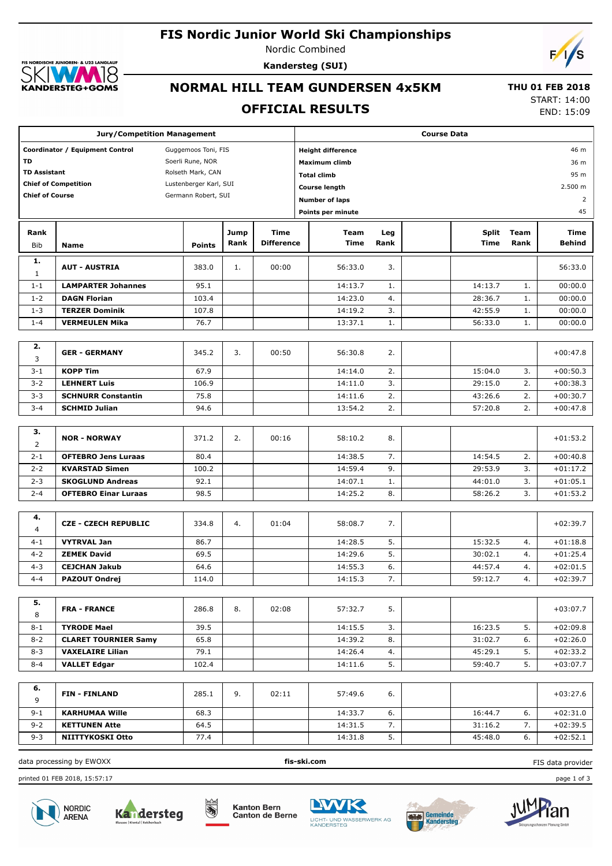# **FIS Nordic Junior World Ski Championships**

 $0.1221A$ **GLAUR**  $\overline{\mathcal{B}}$ KANDERSTEG+GOMS

Nordic Combined **Kandersteg (SUI)**



# **NORMAL HILL TEAM GUNDERSEN 4x5KM**

 **THU 01 FEB 2018**

# **OFFICIAL RESULTS**

START: 14:00 END: 15:09

|                        |                                          | <b>Jury/Competition Management</b> |      | <b>Course Data</b> |                                  |      |              |      |            |  |  |  |
|------------------------|------------------------------------------|------------------------------------|------|--------------------|----------------------------------|------|--------------|------|------------|--|--|--|
|                        | Coordinator / Equipment Control          | Guggemoos Toni, FIS                |      |                    | <b>Height difference</b><br>46 m |      |              |      |            |  |  |  |
| <b>TD</b>              |                                          | Soerli Rune, NOR                   |      |                    | <b>Maximum climb</b><br>36 m     |      |              |      |            |  |  |  |
|                        | <b>TD Assistant</b><br>Rolseth Mark, CAN |                                    |      | <b>Total climb</b> |                                  |      |              |      |            |  |  |  |
|                        | <b>Chief of Competition</b>              | Lustenberger Karl, SUI             |      |                    | <b>Course length</b>             |      |              |      | 2.500 m    |  |  |  |
| <b>Chief of Course</b> |                                          | Germann Robert, SUI                |      |                    | <b>Number of laps</b>            |      |              |      | 2          |  |  |  |
|                        |                                          |                                    |      |                    | Points per minute                |      |              |      | 45         |  |  |  |
| Rank                   |                                          |                                    | Jump | Time               | Team                             | Leg  | <b>Split</b> | Team | Time       |  |  |  |
| Bib                    | Name                                     | <b>Points</b>                      | Rank | <b>Difference</b>  | <b>Time</b>                      | Rank | Time         | Rank | Behind     |  |  |  |
| 1.<br>1                | <b>AUT - AUSTRIA</b>                     | 383.0                              | 1.   | 00:00              | 56:33.0                          | 3.   |              |      | 56:33.0    |  |  |  |
| $1 - 1$                | <b>LAMPARTER Johannes</b>                | 95.1                               |      |                    | 14:13.7                          | 1.   | 14:13.7      | 1.   | 00:00.0    |  |  |  |
| $1 - 2$                | <b>DAGN Florian</b>                      | 103.4                              |      |                    | 14:23.0                          | 4.   | 28:36.7      | 1.   | 00:00.0    |  |  |  |
| $1 - 3$                | <b>TERZER Dominik</b>                    | 107.8                              |      |                    | 14:19.2                          | 3.   | 42:55.9      | 1.   | 00:00.0    |  |  |  |
| $1 - 4$                | <b>VERMEULEN Mika</b>                    | 76.7                               |      |                    | 13:37.1                          | 1.   | 56:33.0      | 1.   | 00:00.0    |  |  |  |
|                        |                                          |                                    |      |                    |                                  |      |              |      |            |  |  |  |
| 2.<br>3                | <b>GER - GERMANY</b>                     | 345.2                              | 3.   | 00:50              | 56:30.8                          | 2.   |              |      | $+00:47.8$ |  |  |  |
| $3 - 1$                | <b>KOPP Tim</b>                          | 67.9                               |      |                    | 14:14.0                          | 2.   | 15:04.0      | 3.   | $+00:50.3$ |  |  |  |
| $3 - 2$                | <b>LEHNERT Luis</b>                      | 106.9                              |      |                    | 14:11.0                          | 3.   | 29:15.0      | 2.   | $+00:38.3$ |  |  |  |
| $3 - 3$                | <b>SCHNURR Constantin</b>                | 75.8                               |      |                    | 14:11.6                          | 2.   | 43:26.6      | 2.   | $+00:30.7$ |  |  |  |
| $3 - 4$                | <b>SCHMID Julian</b>                     | 94.6                               |      |                    | 13:54.2                          | 2.   | 57:20.8      | 2.   | $+00:47.8$ |  |  |  |
|                        |                                          |                                    |      |                    |                                  |      |              |      |            |  |  |  |
| з.<br>$\overline{2}$   | <b>NOR - NORWAY</b>                      | 371.2                              | 2.   | 00:16              | 58:10.2                          | 8.   |              |      | $+01:53.2$ |  |  |  |
| $2 - 1$                | <b>OFTEBRO Jens Luraas</b>               | 80.4                               |      |                    | 14:38.5                          | 7.   | 14:54.5      | 2.   | $+00:40.8$ |  |  |  |
| $2 - 2$                | <b>KVARSTAD Simen</b>                    | 100.2                              |      |                    | 14:59.4                          | 9.   | 29:53.9      | 3.   | $+01:17.2$ |  |  |  |
| $2 - 3$                | <b>SKOGLUND Andreas</b>                  | 92.1                               |      |                    | 14:07.1                          | 1.   | 44:01.0      | 3.   | $+01:05.1$ |  |  |  |
| $2 - 4$                | <b>OFTEBRO Einar Luraas</b>              | 98.5                               |      |                    | 14:25.2                          | 8.   | 58:26.2      | 3.   | +01:53.2   |  |  |  |
|                        |                                          |                                    |      |                    |                                  |      |              |      |            |  |  |  |
| 4.<br>4                | <b>CZE - CZECH REPUBLIC</b>              | 334.8                              | 4.   | 01:04              | 58:08.7                          | 7.   |              |      | $+02:39.7$ |  |  |  |
| $4 - 1$                | <b>VYTRVAL Jan</b>                       | 86.7                               |      |                    | 14:28.5                          | 5.   | 15:32.5      | 4.   | $+01:18.8$ |  |  |  |
| $4 - 2$                | <b>ZEMEK David</b>                       | 69.5                               |      |                    | 14:29.6                          | 5.   | 30:02.1      | 4.   | $+01:25.4$ |  |  |  |
| $4 - 3$                | <b>CEJCHAN Jakub</b>                     | 64.6                               |      |                    | 14:55.3                          | 6.   | 44:57.4      | 4.   | $+02:01.5$ |  |  |  |
| $4 - 4$                | <b>PAZOUT Ondrej</b>                     | 114.0                              |      |                    | 14:15.3                          | 7.   | 59:12.7      | 4.   | $+02:39.7$ |  |  |  |
|                        |                                          |                                    |      |                    |                                  |      |              |      |            |  |  |  |
| 5.<br>8                | <b>FRA - FRANCE</b>                      | 286.8                              | 8.   | 02:08              | 57:32.7                          | 5.   |              |      | $+03:07.7$ |  |  |  |
| $8 - 1$                | <b>TYRODE Mael</b>                       | 39.5                               |      |                    | 14:15.5                          | 3.   | 16:23.5      | 5.   | $+02:09.8$ |  |  |  |
| $8 - 2$                | <b>CLARET TOURNIER Samy</b>              | 65.8                               |      |                    | 14:39.2                          | 8.   | 31:02.7      | 6.   | $+02:26.0$ |  |  |  |
| $8 - 3$                | <b>VAXELAIRE Lilian</b>                  | 79.1                               |      |                    | 14:26.4                          | 4.   | 45:29.1      | 5.   | $+02:33.2$ |  |  |  |
| $8 - 4$                | <b>VALLET Edgar</b>                      | 102.4                              |      |                    | 14:11.6                          | 5.   | 59:40.7      | 5.   | +03:07.7   |  |  |  |
|                        |                                          |                                    |      |                    |                                  |      |              |      |            |  |  |  |
| 6.<br>9                | <b>FIN-FINLAND</b>                       | 285.1                              | 9.   | 02:11              | 57:49.6                          | 6.   |              |      | $+03:27.6$ |  |  |  |
| $9 - 1$                | <b>KARHUMAA Wille</b>                    | 68.3                               |      |                    | 14:33.7                          | 6.   | 16:44.7      | 6.   | $+02:31.0$ |  |  |  |
| $9 - 2$                | <b>KETTUNEN Atte</b>                     | 64.5                               |      |                    | 14:31.5                          | 7.   | 31:16.2      | 7.   | $+02:39.5$ |  |  |  |
| $9 - 3$                | NIITTYKOSKI Otto                         | 77.4                               |      |                    | 14:31.8                          | 5.   | 45:48.0      | 6.   | $+02:52.1$ |  |  |  |

printed 01 FEB 2018, 15:57:17 page 1 of 3





**BARK** 





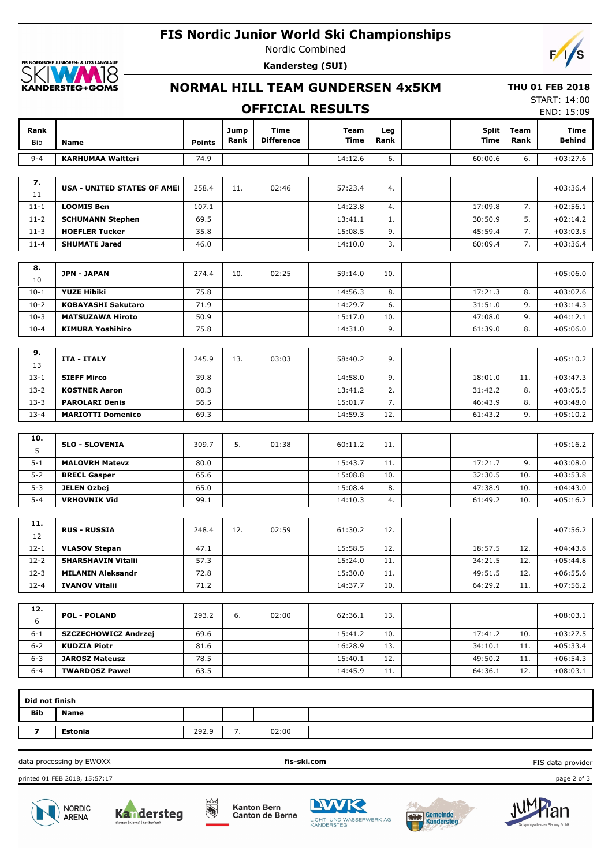## **FIS Nordic Junior World Ski Championships**



Nordic Combined **Kandersteg (SUI)**



# **NORMAL HILL TEAM GUNDERSEN 4x5KM**

#### **THU 01 FEB 2018**

|                    |                                    |               |              |                                  | <b>OFFICIAL RESULTS</b>    |             |                             |              | <b>START: 14:00</b><br>END: 15:09 |
|--------------------|------------------------------------|---------------|--------------|----------------------------------|----------------------------|-------------|-----------------------------|--------------|-----------------------------------|
| Rank<br><b>Bib</b> | <b>Name</b>                        | <b>Points</b> | Jump<br>Rank | <b>Time</b><br><b>Difference</b> | <b>Team</b><br><b>Time</b> | Leg<br>Rank | <b>Split</b><br><b>Time</b> | Team<br>Rank | Time<br><b>Behind</b>             |
| $9 - 4$            | <b>KARHUMAA Waltteri</b>           | 74.9          |              |                                  | 14:12.6                    | 6.          | 60:00.6                     | 6.           | $+03:27.6$                        |
| 7.<br>11           | <b>USA - UNITED STATES OF AMEI</b> | 258.4         | 11.          | 02:46                            | 57:23.4                    | 4.          |                             |              | $+03:36.4$                        |
| $11 - 1$           | <b>LOOMIS Ben</b>                  | 107.1         |              |                                  | 14:23.8                    | 4.          | 17:09.8                     | 7.           | $+02:56.1$                        |
| $11 - 2$           | <b>SCHUMANN Stephen</b>            | 69.5          |              |                                  | 13:41.1                    | 1.          | 30:50.9                     | 5.           | $+02:14.2$                        |
| $11-3$             | <b>HOEFLER Tucker</b>              | 35.8          |              |                                  | 15:08.5                    | 9.          | 45:59.4                     | 7.           | $+03:03.5$                        |
| $11 - 4$           | <b>SHUMATE Jared</b>               | 46.0          |              |                                  | 14:10.0                    | 3.          | 60:09.4                     | 7.           | $+03:36.4$                        |
|                    |                                    |               |              |                                  |                            |             |                             |              |                                   |
| 8.<br>10           | <b>JPN - JAPAN</b>                 | 274.4         | 10.          | 02:25                            | 59:14.0                    | 10.         |                             |              | $+05:06.0$                        |
| $10-1$             | <b>YUZE Hibiki</b>                 | 75.8          |              |                                  | 14:56.3                    | 8.          | 17:21.3                     | 8.           | $+03:07.6$                        |
| $10-2$             | <b>KOBAYASHI Sakutaro</b>          | 71.9          |              |                                  | 14:29.7                    | 6.          | 31:51.0                     | 9.           | $+03:14.3$                        |
| $10-3$             | <b>MATSUZAWA Hiroto</b>            | 50.9          |              |                                  | 15:17.0                    | 10.         | 47:08.0                     | 9.           | $+04:12.1$                        |
| $10 - 4$           | <b>KIMURA Yoshihiro</b>            | 75.8          |              |                                  | 14:31.0                    | 9.          | 61:39.0                     | 8.           | $+05:06.0$                        |
|                    |                                    |               |              |                                  |                            |             |                             |              |                                   |
| 9.<br>13           | <b>ITA - ITALY</b>                 | 245.9         | 13.          | 03:03                            | 58:40.2                    | 9.          |                             |              | $+05:10.2$                        |
| $13 - 1$           | <b>SIEFF Mirco</b>                 | 39.8          |              |                                  | 14:58.0                    | 9.          | 18:01.0                     | 11.          | $+03:47.3$                        |
| $13 - 2$           | <b>KOSTNER Aaron</b>               | 80.3          |              |                                  | 13:41.2                    | 2.          | 31:42.2                     | 8.           | $+03:05.5$                        |
| $13 - 3$           | <b>PAROLARI Denis</b>              | 56.5          |              |                                  | 15:01.7                    | 7.          | 46:43.9                     | 8.           | $+03:48.0$                        |
| $13 - 4$           | <b>MARIOTTI Domenico</b>           | 69.3          |              |                                  | 14:59.3                    | 12.         | 61:43.2                     | 9.           | $+05:10.2$                        |
|                    |                                    |               |              |                                  |                            |             |                             |              |                                   |
| 10.<br>5           | <b>SLO - SLOVENIA</b>              | 309.7         | 5.           | 01:38                            | 60:11.2                    | 11.         |                             |              | $+05:16.2$                        |
| $5 - 1$            | <b>MALOVRH Matevz</b>              | 80.0          |              |                                  | 15:43.7                    | 11.         | 17:21.7                     | 9.           | $+03:08.0$                        |

| $5 - 1$ | <b>MALOVRH Matevz</b> | 80.0 |  | 15:43.7 | 11. | 17:21.7 | 9.  | $+03:08.0$ |
|---------|-----------------------|------|--|---------|-----|---------|-----|------------|
| $5 - 2$ | <b>BRECL Gasper</b>   | 65.6 |  | 15:08.8 | 10. | 32:30.5 | 10. | $+03:53.8$ |
| $5 - 3$ | <b>JELEN Ozbej</b>    | 65.0 |  | 15:08.4 | 8.  | 47:38.9 | 10. | $+04:43.0$ |
| $5 - 4$ | <b>VRHOVNIK Vid</b>   | 99.1 |  | 14:10.3 | -4. | 61:49.2 | 10. | $+05:16.2$ |
|         |                       |      |  |         |     |         |     |            |

| 11.<br>12 | <b>RUS - RUSSIA</b>       | 248.4 | 12. | 02:59 | 61:30.2 | 12. |         |     | $+07:56.2$ |
|-----------|---------------------------|-------|-----|-------|---------|-----|---------|-----|------------|
| $12 - 1$  | <b>VLASOV Stepan</b>      | 47.1  |     |       | 15:58.5 | 12. | 18:57.5 | 12. | $+04:43.8$ |
| $12 - 2$  | <b>SHARSHAVIN Vitalii</b> | 57.3  |     |       | 15:24.0 | 11. | 34:21.5 | 12. | $+05:44.8$ |
| $12 - 3$  | <b>MILANIN Aleksandr</b>  | 72.8  |     |       | 15:30.0 | 11. | 49:51.5 | 12. | $+06:55.6$ |
| $12 - 4$  | <b>IVANOV Vitalii</b>     | 71.2  |     |       | 14:37.7 | 10. | 64:29.2 | 11. | $+07:56.2$ |

| 12.<br>6 | <b>POL - POLAND</b>         | 293.2 | 6. | 02:00 | 62:36.1 | 13. |         |     | $+08:03.1$ |
|----------|-----------------------------|-------|----|-------|---------|-----|---------|-----|------------|
| $6 - 1$  | <b>SZCZECHOWICZ Andrzej</b> | 69.6  |    |       | 15:41.2 | 10. | 17:41.2 | 10. | $+03:27.5$ |
| $6 - 2$  | <b>KUDZIA Piotr</b>         | 81.6  |    |       | 16:28.9 | 13. | 34:10.1 | 11. | $+05:33.4$ |
| $6 - 3$  | <b>JAROSZ Mateusz</b>       | 78.5  |    |       | 15:40.1 | 12. | 49:50.2 | 11. | $+06:54.3$ |
| $6 - 4$  | <b>TWARDOSZ Pawel</b>       | 63.5  |    |       | 14:45.9 | 11. | 64:36.1 | 12. | $+08:03.1$ |

| Did not finish |             |       |     |       |  |
|----------------|-------------|-------|-----|-------|--|
| <b>Bib</b>     | <b>Name</b> |       |     |       |  |
|                | Estonia     | 292.9 | . . | 02:00 |  |

data processing by EWOXX **fis-ski.com**

printed 01 FEB 2018, 15:57:17 page 2 of 3





**Kanton Bern** Canton de Berne

İ,







FIS data provider